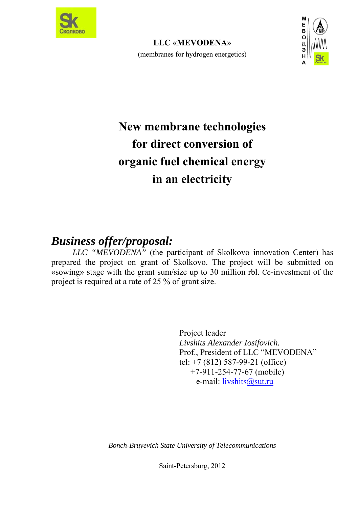

**LLC «MEVODENA»**  (membranes for hydrogen energetics)



# **New membrane technologies for direct conversion of organic fuel chemical energy in an electricity**

# *Business offer/proposal:*

*LLC "MEVODENA"* (the participant of Skolkovo innovation Center) has prepared the project on grant of Skolkovo. The project will be submitted on «sowing» stage with the grant sum/size up to 30 million rbl. Co-investment of the project is required at a rate of 25 % of grant size.

> Project leader *Livshits Alexander Iosifovich.*  Prof., President of LLC "MEVODENA" tel: +7 (812) 587-99-21 (office) +7-911-254-77-67 (mobile) e-mail: livshits@sut.ru

*Bonch-Bruyevich State University of Telecommunications* 

Saint-Petersburg, 2012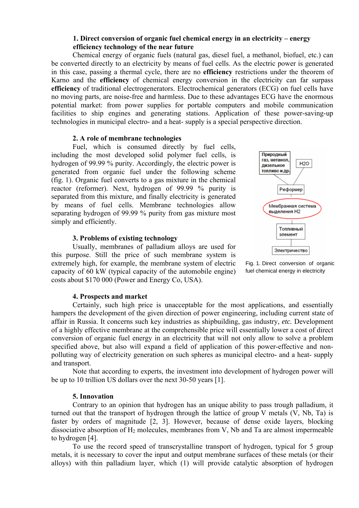#### **1. Direct conversion of organic fuel chemical energy in an electricity – energy efficiency technology of the near future**

Chemical energy of organic fuels (natural gas, diesel fuel, a methanol, biofuel, etc.) can be converted directly to an electricity by means of fuel cells. As the electric power is generated in this case, passing a thermal cycle, there are no **efficiency** restrictions under the theorem of Karno and the **efficiency** of chemical energy conversion in the electricity can far surpass **efficiency** of traditional electrogenerators. Electrochemical generators (ECG) on fuel cells have no moving parts, are noise-free and harmless. Due to these advantages ECG have the enormous potential market: from power supplies for portable computers and mobile communication facilities to ship engines and generating stations. Application of these power-saving-up technologies in municipal electro- and a heat- supply is a special perspective direction.

#### **2. A role of membrane technologies**

Fuel, which is consumed directly by fuel cells, including the most developed solid polymer fuel cells, is hydrogen of 99.99 % purity. Accordingly, the electric power is generated from organic fuel under the following scheme (fig. 1). Organic fuel converts to a gas mixture in the chemical reactor (reformer). Next, hydrogen of 99.99 % purity is separated from this mixture, and finally electricity is generated by means of fuel cells. Membrane technologies allow separating hydrogen of 99.99 % purity from gas mixture most simply and efficiently.

#### **3. Problems of existing technology**

Usually, membranes of palladium alloys are used for this purpose. Still the price of such membrane system is extremely high, for example, the membrane system of electric capacity of 60 kW (typical capacity of the automobile engine) costs about \$170 000 (Power and Energy Co, USA).





#### **4. Prospects and market**

Certainly, such high price is unacceptable for the most applications, and essentially hampers the development of the given direction of power engineering, including current state of affair in Russia. It concerns such key industries as shipbuilding, gas industry, *etc.* Development of a highly effective membrane at the comprehensible price will essentially lower a cost of direct conversion of organic fuel energy in an electricity that will not only allow to solve a problem specified above, but also will expand a field of application of this power-effective and nonpolluting way of electricity generation on such spheres as municipal electro- and a heat- supply and transport.

Note that according to experts, the investment into development of hydrogen power will be up to 10 trillion US dollars over the next 30-50 years [1].

#### **5. Innovation**

Contrary to an opinion that hydrogen has an unique ability to pass trough palladium, it turned out that the transport of hydrogen through the lattice of group V metals (V, Nb, Ta) is faster by orders of magnitude [2, 3]. However, because of dense oxide layers, blocking dissociative absorption of  $H_2$  molecules, membranes from V, Nb and Ta are almost impermeable to hydrogen [4].

To use the record speed of transcrystalline transport of hydrogen, typical for 5 group metals, it is necessary to cover the input and output membrane surfaces of these metals (or their alloys) with thin palladium layer, which (1) will provide catalytic absorption of hydrogen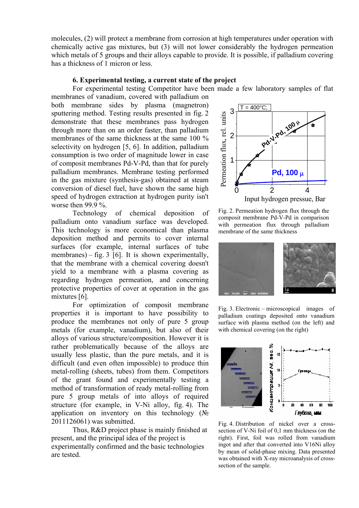molecules, (2) will protect a membrane from corrosion at high temperatures under operation with chemically active gas mixtures, but (3) will not lower considerably the hydrogen permeation which metals of 5 groups and their alloys capable to provide. It is possible, if palladium covering has a thickness of 1 micron or less.

#### **6. Experimental testing, a current state of the project**

For experimental testing Competitor have been made a few laboratory samples of flat

membranes of vanadium, covered with palladium on both membrane sides by plasma (magnetron) sputtering method. Testing results presented in fig. 2 demonstrate that these membranes pass hydrogen through more than on an order faster, than palladium membranes of the same thickness at the same 100 % selectivity on hydrogen [5, 6]. In addition, palladium consumption is two order of magnitude lower in case of composit membranes Pd-V-Pd, than that for purely palladium membranes. Membrane testing performed in the gas mixture (synthesis-gas) obtained at steam conversion of diesel fuel, have shown the same high speed of hydrogen extraction at hydrogen purity isn't worse then 99.9 %.

Technology of chemical deposition of palladium onto vanadium surface was developed. This technology is more economical than plasma deposition method and permits to cover internal surfaces (for example, internal surfaces of tube membranes) – fig.  $3 \times 6$ . It is shown experimentally, that the membrane with a chemical covering doesn't yield to a membrane with a plasma covering as regarding hydrogen permeation, and concerning protective properties of cover at operation in the gas mixtures [6].

For optimization of composit membrane properties it is important to have possibility to produce the membranes not only of pure 5 group metals (for example, vanadium), but also of their alloys of various structure/composition. However it is rather problematically because of the alloys are usually less plastic, than the pure metals, and it is difficult (and even often impossible) to produce thin metal-rolling (sheets, tubes) from them. Competitors of the grant found and experimentally testing a method of transformation of ready metal-rolling from pure 5 group metals of into alloys of required structure (for example, in V-Ni alloy, fig. 4). The application on inventory on this technology  $(N<sub>2</sub>)$ 2011126061) was submitted.

Thus, R&D project phase is mainly finished at present, and the principal idea of the project is experimentally confirmed and the basic technologies are tested.



Fig. 2. Permeation hydrogen flux through the composit membrane Pd-V-Pd in comparison with permeation flux through palladium membrane of the same thickness



Fig. 3. Electronic – microscopical images of palladium coatings deposited onto vanadium surface with plasma method (on the left) and with chemical covering (on the right)



Fig. 4. Distribution of nickel over a crosssection of V-Ni foil of 0,1 mm thickness (on the right). First, foil was rolled from vanadium ingot and after that converted into V16Ni alloy by mean of solid-phase mixing. Data presented was obtained with X-ray microanalysis of crosssection of the sample.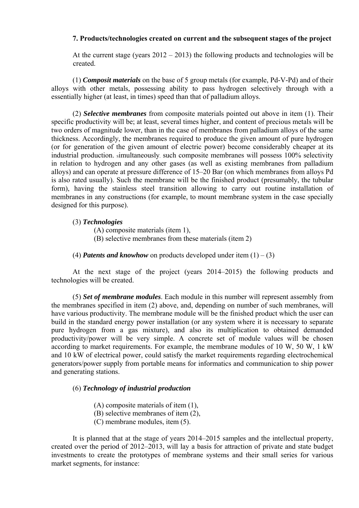#### **7. Products/technologies created on current and the subsequent stages of the project**

At the current stage (years  $2012 - 2013$ ) the following products and technologies will be created.

(1) *Composit materials* on the base of 5 group metals (for example, Pd-V-Pd) and of their alloys with other metals, possessing ability to pass hydrogen selectively through with a essentially higher (at least, in times) speed than that of palladium alloys.

(2) *Selective membranes* from composite materials pointed out above in item (1). Their specific productivity will be; at least, several times higher, and content of precious metals will be two orders of magnitude lower, than in the case of membranes from palladium alloys of the same thickness. Accordingly, the membranes required to produce the given amount of pure hydrogen (or for generation of the given amount of electric power) become considerably cheaper at its industrial production. simultaneously, such composite membranes will possess 100% selectivity in relation to hydrogen and any other gases (as well as existing membranes from palladium alloys) and can operate at pressure difference of 15–20 Bar (on which membranes from alloys Pd is also rated usually). Such the membrane will be the finished product (presumably, the tubular form), having the stainless steel transition allowing to carry out routine installation of membranes in any constructions (for example, to mount membrane system in the case specially designed for this purpose).

#### (3) *Technologies*

(A) composite materials (item 1),

- (B) selective membranes from these materials (item 2)
- (4) *Patents and knowhow* on products developed under item  $(1) (3)$

At the next stage of the project (years 2014–2015) the following products and technologies will be created.

(5) *Set of membrane modules*. Each module in this number will represent assembly from the membranes specified in item (2) above, and, depending on number of such membranes, will have various productivity. The membrane module will be the finished product which the user can build in the standard energy power installation (or any system where it is necessary to separate pure hydrogen from a gas mixture), and also its multiplication to obtained demanded productivity/power will be very simple. A concrete set of module values will be chosen according to market requirements. For example, the membrane modules of 10 W, 50 W, 1 kW and 10 kW of electrical power, could satisfy the market requirements regarding electrochemical generators/power supply from portable means for informatics and communication to ship power and generating stations.

### (6) *Technology of industrial production*

- (A) composite materials of item (1),
- (B) selective membranes of item (2),
- (C) membrane modules, item (5).

It is planned that at the stage of years 2014–2015 samples and the intellectual property, created over the period of 2012–2013, will lay a basis for attraction of private and state budget investments to create the prototypes of membrane systems and their small series for various market segments, for instance: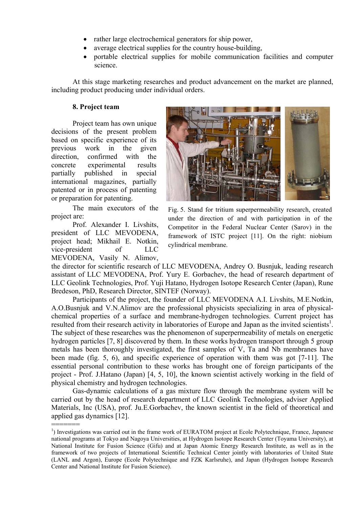- rather large electrochemical generators for ship power,
- average electrical supplies for the country house-building,
- portable electrical supplies for mobile communication facilities and computer science.

At this stage marketing researches and product advancement on the market are planned, including product producing under individual orders.

#### **8. Project team**

Project team has own unique decisions of the present problem based on specific experience of its previous work in the given direction, confirmed with the concrete experimental results partially published in special international magazines, partially patented or in process of patenting or preparation for patenting.

The main executors of the project are:

Prof. Alexander I. Livshits, president of LLC MEVODENA, project head; Mikhail E. Notkin, vice-president of LLC MEVODENA, Vasily N. Alimov,

=======



Fig. 5. Stand for tritium superpermeability research, created under the direction of and with participation in of the Competitor in the Federal Nuclear Center (Sarov) in the framework of ISTC project [11]. On the right: niobium cylindrical membrane.

the director for scientific research of LLC MEVODENA, Andrey O. Busnjuk, leading research assistant of LLC MEVODENA, Prof. Yury E. Gorbachev, the head of research department of LLC Geolink Technologies, Prof. Yuji Hatano, Hydrogen Isotope Research Center (Japan), Rune Bredeson, PhD, Research Director, SINTEF (Norway).

Participants of the project, the founder of LLC MEVODENA A.I. Livshits, M.E.Notkin, A.O.Busnjuk and V.N.Alimov are the professional physicists specializing in area of physicalchemical properties of a surface and membrane-hydrogen technologies. Current project has resulted from their research activity in laboratories of Europe and Japan as the invited scientists<sup>1</sup>. The subject of these researches was the phenomenon of superpermeability of metals on energetic hydrogen particles [7, 8] discovered by them. In these works hydrogen transport through 5 group metals has been thoroughly investigated, the first samples of V, Ta and Nb membranes have been made (fig. 5, 6), and specific experience of operation with them was got [7-11]. The essential personal contribution to these works has brought one of foreign participants of the project - Prof. J.Hatano (Japan) [4, 5, 10], the known scientist actively working in the field of physical chemistry and hydrogen technologies.

Gas-dynamic calculations of a gas mixture flow through the membrane system will be carried out by the head of research department of LLC Geolink Technologies, adviser Applied Materials, Inc (USA), prof. Ju.E.Gorbachev, the known scientist in the field of theoretical and applied gas dynamics [12].

<sup>&</sup>lt;sup>1</sup>) Investigations was carried out in the frame work of EURATOM project at Ecole Polytechnique, France, Japanese national programs at Tokyo and Nagoya Universities, at Hydrogen Isotope Research Center (Toyama University), at National Institute for Fusion Science (Gifu) and at Japan Atomic Energy Research Institute, as well as in the framework of two projects of International Scientific Technical Center jointly with laboratories of United State (LANL and Argon), Europe (Ecole Polytechnique and FZK Karlsruhe), and Japan (Hydrogen Isotope Research Center and National Institute for Fusion Science).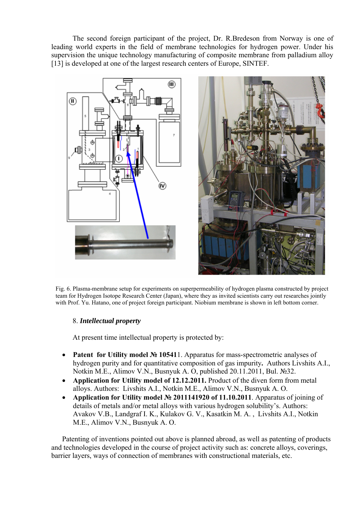The second foreign participant of the project, Dr. R.Bredeson from Norway is one of leading world experts in the field of membrane technologies for hydrogen power. Under his supervision the unique technology manufacturing of composite membrane from palladium alloy [13] is developed at one of the largest research centers of Europe, SINTEF.





Fig. 6. Plasma-membrane setup for experiments on superpermeability of hydrogen plasma constructed by project team for Hydrogen Isotope Research Center (Japan), where they as invited scientists carry out researches jointly with Prof. Yu. Hatano, one of project foreign participant. Niobium membrane is shown in left bottom corner.

# 8. *Intellectual property*

At present time intellectual property is protected by:

- **Patent for Utility model № 10541**1. Apparatus for mass-spectrometric analyses of hydrogen purity and for quantitative composition of gas impurity**.** Authors Livshits A.I., Notkin M.E., Alimov V.N., Busnyuk А. О, published 20.11.2011, Bul. №32.
- **Application for Utility model of 12.12.2011.** Product of the diven form from metal alloys. Authors: Livshits A.I., Notkin M.E., Alimov V.N., Busnyuk А. О.
- **Application for Utility model № 2011141920 of 11.10.2011**. Apparatus of joining of details of metals and/or metal alloys with various hydrogen solubility's. Authors: Avakov V.B., Landgraf I. K., Kulakov G. V., Kasatkin М. А. , Livshits A.I., Notkin M.E., Alimov V.N., Busnyuk А. О.

Patenting of inventions pointed out above is planned abroad, as well as patenting of products and technologies developed in the course of project activity such as: concrete alloys, coverings, barrier layers, ways of connection of membranes with constructional materials, etc.